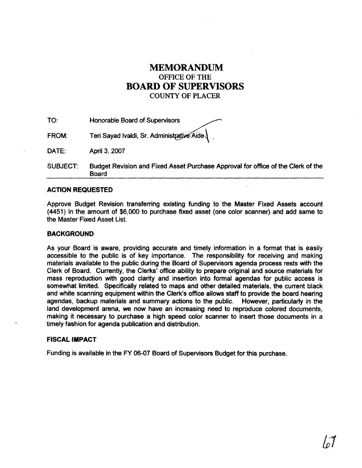## **MEMORANDUM OFFICE OF THE BOARD OF SUPERVISORS COUNTY OF PLACER**

| TO:          | Honorable Board of Supervisors                                                   |
|--------------|----------------------------------------------------------------------------------|
| <b>FROM:</b> | Teri Sayad Ivaldi, Sr. Administrative Aide                                       |
| DATE:        | April 3, 2007                                                                    |
| SUBJECT:     | Budget Revision and Fixed Asset Purchase Approval for office of the Clerk of the |

## **ACTION REQUESTED**

Board

Approve Budget Revision transferring existing funding to the Master Fixed Assets account (4451) in the amount of \$6,000 to purchase fixed asset (one color scanner) and add same to the Master Fixed Asset List.

## **BACKGROUND**

As your Board is aware, providing accurate and timely information in a format that is easily accessible to the public is of key importance. The responsibility for receiving and making materials available to the public during the Board of Supervisors agenda process rests with the Clerk of Board. Currently, the Clerks' office ability to prepare original and source materials for mass reproduction with good clarity and insertion into formal agendas for public access is somewhat limited. Specifically related to maps and other detailed materials, the current b1ack and white scanning equipment within the Clerk's office allows staff to provide the board hearing agendas, backup materials and summary actions to the public. However, particularly in the land development arena, we now have an increasing need to reproduce colored documents, making it necessary to purchase a high speed color scanner to insert those documents in a timely fashion for agenda publication and distribution.

## **FISCAL IMPACT**

Funding is available in the FY 06-07 Board of Supervisors Budget for this purchase.